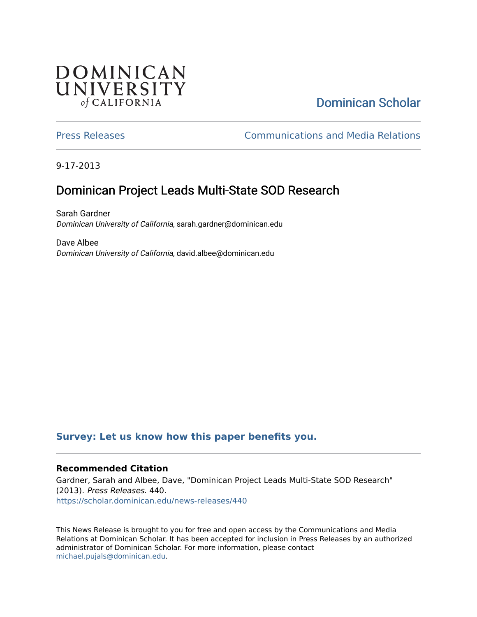## **DOMINICAN** UNIVERSITY of CALIFORNIA

# [Dominican Scholar](https://scholar.dominican.edu/)

[Press Releases](https://scholar.dominican.edu/news-releases) [Communications and Media Relations](https://scholar.dominican.edu/communications-media) 

9-17-2013

# Dominican Project Leads Multi-State SOD Research

Sarah Gardner Dominican University of California, sarah.gardner@dominican.edu

Dave Albee Dominican University of California, david.albee@dominican.edu

#### **[Survey: Let us know how this paper benefits you.](https://dominican.libwizard.com/dominican-scholar-feedback)**

#### **Recommended Citation**

Gardner, Sarah and Albee, Dave, "Dominican Project Leads Multi-State SOD Research" (2013). Press Releases. 440. [https://scholar.dominican.edu/news-releases/440](https://scholar.dominican.edu/news-releases/440?utm_source=scholar.dominican.edu%2Fnews-releases%2F440&utm_medium=PDF&utm_campaign=PDFCoverPages)

This News Release is brought to you for free and open access by the Communications and Media Relations at Dominican Scholar. It has been accepted for inclusion in Press Releases by an authorized administrator of Dominican Scholar. For more information, please contact [michael.pujals@dominican.edu.](mailto:michael.pujals@dominican.edu)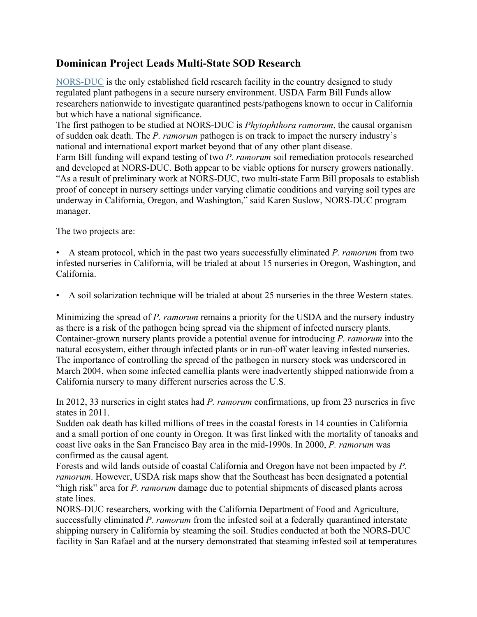### **Dominican Project Leads Multi-State SOD Research**

NORS-DUC is the only established field research facility in the country designed to study regulated plant pathogens in a secure nursery environment. USDA Farm Bill Funds allow researchers nationwide to investigate quarantined pests/pathogens known to occur in California but which have a national significance.

The first pathogen to be studied at NORS-DUC is *Phytophthora ramorum*, the causal organism of sudden oak death. The *P. ramorum* pathogen is on track to impact the nursery industry's national and international export market beyond that of any other plant disease. Farm Bill funding will expand testing of two *P. ramorum* soil remediation protocols researched

and developed at NORS-DUC. Both appear to be viable options for nursery growers nationally. "As a result of preliminary work at NORS-DUC, two multi-state Farm Bill proposals to establish proof of concept in nursery settings under varying climatic conditions and varying soil types are underway in California, Oregon, and Washington," said Karen Suslow, NORS-DUC program manager.

The two projects are:

• A steam protocol, which in the past two years successfully eliminated *P. ramorum* from two infested nurseries in California, will be trialed at about 15 nurseries in Oregon, Washington, and California.

• A soil solarization technique will be trialed at about 25 nurseries in the three Western states.

Minimizing the spread of *P. ramorum* remains a priority for the USDA and the nursery industry as there is a risk of the pathogen being spread via the shipment of infected nursery plants. Container-grown nursery plants provide a potential avenue for introducing *P. ramorum* into the natural ecosystem, either through infected plants or in run-off water leaving infested nurseries. The importance of controlling the spread of the pathogen in nursery stock was underscored in March 2004, when some infected camellia plants were inadvertently shipped nationwide from a California nursery to many different nurseries across the U.S.

In 2012, 33 nurseries in eight states had *P. ramorum* confirmations, up from 23 nurseries in five states in 2011.

Sudden oak death has killed millions of trees in the coastal forests in 14 counties in California and a small portion of one county in Oregon. It was first linked with the mortality of tanoaks and coast live oaks in the San Francisco Bay area in the mid-1990s. In 2000, *P. ramorum* was confirmed as the causal agent.

Forests and wild lands outside of coastal California and Oregon have not been impacted by *P. ramorum*. However, USDA risk maps show that the Southeast has been designated a potential "high risk" area for *P. ramorum* damage due to potential shipments of diseased plants across state lines.

NORS-DUC researchers, working with the California Department of Food and Agriculture, successfully eliminated *P. ramorum* from the infested soil at a federally quarantined interstate shipping nursery in California by steaming the soil. Studies conducted at both the NORS-DUC facility in San Rafael and at the nursery demonstrated that steaming infested soil at temperatures